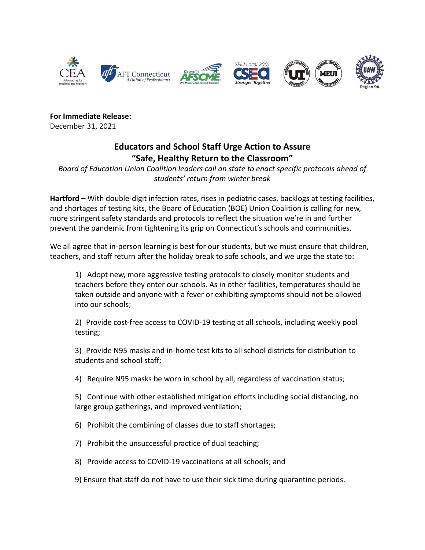

**For Immediate Release:** December 31, 2021

## **Educators and School Staff Urge Action to Assure "Safe, Healthy Return to the Classroom"**

*Board of Education Union Coalition leaders call on state to enact specific protocols ahead of students' return from winter break*

**Hartford –** With double-digit infection rates, rises in pediatric cases, backlogs at testing facilities, and shortages of testing kits, the Board of Education (BOE) Union Coalition is calling for new, more stringent safety standards and protocols to reflect the situation we're in and further prevent the pandemic from tightening its grip on Connecticut's schools and communities.

We all agree that in-person learning is best for our students, but we must ensure that children, teachers, and staff return after the holiday break to safe schools, and we urge the state to:

1) Adopt new, more aggressive testing protocols to closely monitor students and teachers before they enter our schools. As in other facilities, temperatures should be taken outside and anyone with a fever or exhibiting symptoms should not be allowed into our schools;

2) Provide cost-free access to COVID-19 testing at all schools, including weekly pool testing;

3) Provide N95 masks and in-home test kits to all school districts for distribution to students and school staff;

4) Require N95 masks be worn in school by all, regardless of vaccination status;

5) Continue with other established mitigation efforts including social distancing, no large group gatherings, and improved ventilation;

6) Prohibit the combining of classes due to staff shortages;

- 7) Prohibit the unsuccessful practice of dual teaching;
- 8) Provide access to COVID-19 vaccinations at all schools; and
- 9) Ensure that staff do not have to use their sick time during quarantine periods.